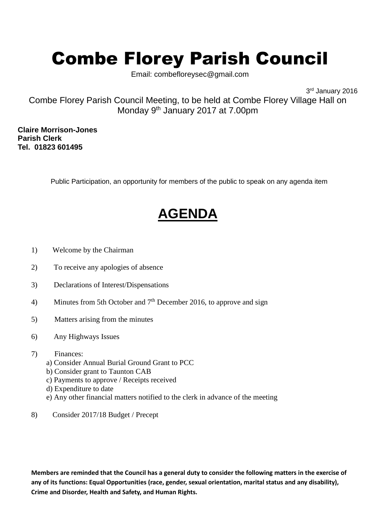## Combe Florey Parish Council

Email: combefloreysec@gmail.com

3 rd January 2016

Combe Florey Parish Council Meeting, to be held at Combe Florey Village Hall on Monday 9<sup>th</sup> January 2017 at 7.00pm

**Claire Morrison-Jones Parish Clerk Tel. 01823 601495**

Public Participation, an opportunity for members of the public to speak on any agenda item

## **AGENDA**

- 1) Welcome by the Chairman
- 2) To receive any apologies of absence
- 3) Declarations of Interest/Dispensations
- 4) Minutes from 5th October and  $7<sup>th</sup>$  December 2016, to approve and sign
- 5) Matters arising from the minutes
- 6) Any Highways Issues
- 7) Finances:
	- a) Consider Annual Burial Ground Grant to PCC
	- b) Consider grant to Taunton CAB
	- c) Payments to approve / Receipts received
	- d) Expenditure to date
	- e) Any other financial matters notified to the clerk in advance of the meeting
- 8) Consider 2017/18 Budget / Precept

**Members are reminded that the Council has a general duty to consider the following matters in the exercise of any of its functions: Equal Opportunities (race, gender, sexual orientation, marital status and any disability), Crime and Disorder, Health and Safety, and Human Rights.**